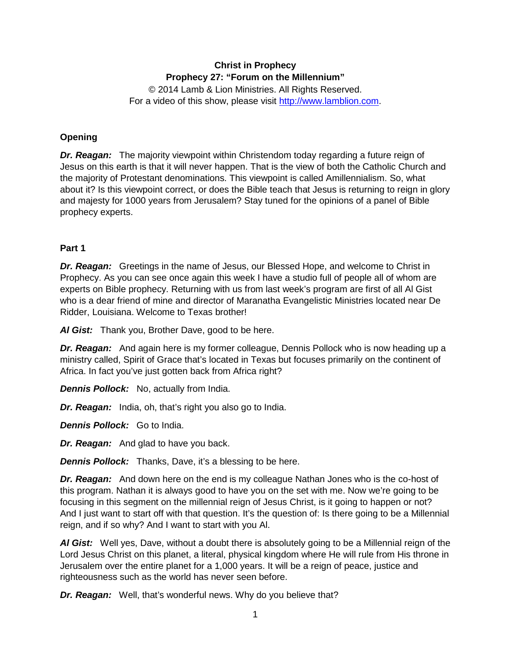# **Christ in Prophecy Prophecy 27: "Forum on the Millennium"**

© 2014 Lamb & Lion Ministries. All Rights Reserved. For a video of this show, please visit [http://www.lamblion.com.](http://www.lamblion.com/)

## **Opening**

*Dr. Reagan:* The majority viewpoint within Christendom today regarding a future reign of Jesus on this earth is that it will never happen. That is the view of both the Catholic Church and the majority of Protestant denominations. This viewpoint is called Amillennialism. So, what about it? Is this viewpoint correct, or does the Bible teach that Jesus is returning to reign in glory and majesty for 1000 years from Jerusalem? Stay tuned for the opinions of a panel of Bible prophecy experts.

### **Part 1**

*Dr. Reagan:* Greetings in the name of Jesus, our Blessed Hope, and welcome to Christ in Prophecy. As you can see once again this week I have a studio full of people all of whom are experts on Bible prophecy. Returning with us from last week's program are first of all Al Gist who is a dear friend of mine and director of Maranatha Evangelistic Ministries located near De Ridder, Louisiana. Welcome to Texas brother!

*Al Gist:* Thank you, Brother Dave, good to be here.

*Dr. Reagan:* And again here is my former colleague, Dennis Pollock who is now heading up a ministry called, Spirit of Grace that's located in Texas but focuses primarily on the continent of Africa. In fact you've just gotten back from Africa right?

*Dennis Pollock:* No, actually from India.

*Dr. Reagan:* India, oh, that's right you also go to India.

*Dennis Pollock:* Go to India.

*Dr. Reagan:* And glad to have you back.

*Dennis Pollock:* Thanks, Dave, it's a blessing to be here.

*Dr. Reagan:* And down here on the end is my colleague Nathan Jones who is the co-host of this program. Nathan it is always good to have you on the set with me. Now we're going to be focusing in this segment on the millennial reign of Jesus Christ, is it going to happen or not? And I just want to start off with that question. It's the question of: Is there going to be a Millennial reign, and if so why? And I want to start with you Al.

*Al Gist:* Well yes, Dave, without a doubt there is absolutely going to be a Millennial reign of the Lord Jesus Christ on this planet, a literal, physical kingdom where He will rule from His throne in Jerusalem over the entire planet for a 1,000 years. It will be a reign of peace, justice and righteousness such as the world has never seen before.

*Dr. Reagan:* Well, that's wonderful news. Why do you believe that?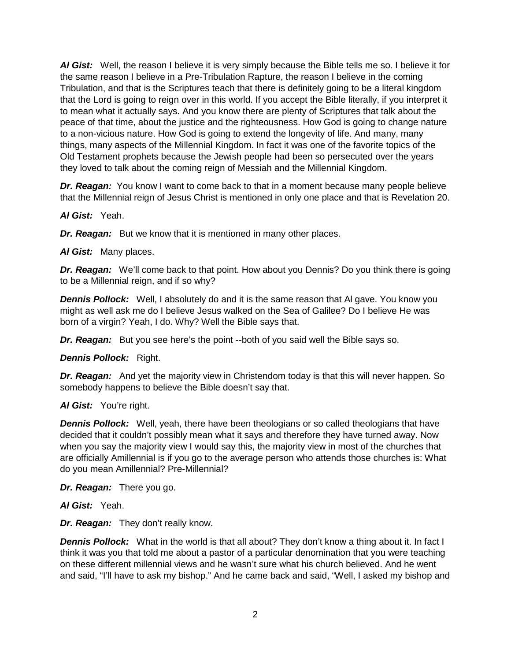*Al Gist:* Well, the reason I believe it is very simply because the Bible tells me so. I believe it for the same reason I believe in a Pre-Tribulation Rapture, the reason I believe in the coming Tribulation, and that is the Scriptures teach that there is definitely going to be a literal kingdom that the Lord is going to reign over in this world. If you accept the Bible literally, if you interpret it to mean what it actually says. And you know there are plenty of Scriptures that talk about the peace of that time, about the justice and the righteousness. How God is going to change nature to a non-vicious nature. How God is going to extend the longevity of life. And many, many things, many aspects of the Millennial Kingdom. In fact it was one of the favorite topics of the Old Testament prophets because the Jewish people had been so persecuted over the years they loved to talk about the coming reign of Messiah and the Millennial Kingdom.

*Dr. Reagan:* You know I want to come back to that in a moment because many people believe that the Millennial reign of Jesus Christ is mentioned in only one place and that is Revelation 20.

*Al Gist:* Yeah.

*Dr. Reagan:* But we know that it is mentioned in many other places.

*Al Gist:* Many places.

**Dr. Reagan:** We'll come back to that point. How about you Dennis? Do you think there is going to be a Millennial reign, and if so why?

*Dennis Pollock:* Well, I absolutely do and it is the same reason that Al gave. You know you might as well ask me do I believe Jesus walked on the Sea of Galilee? Do I believe He was born of a virgin? Yeah, I do. Why? Well the Bible says that.

*Dr. Reagan:* But you see here's the point --both of you said well the Bible says so.

*Dennis Pollock:* Right.

*Dr. Reagan:* And yet the majority view in Christendom today is that this will never happen. So somebody happens to believe the Bible doesn't say that.

### *Al Gist:* You're right.

**Dennis Pollock:** Well, yeah, there have been theologians or so called theologians that have decided that it couldn't possibly mean what it says and therefore they have turned away. Now when you say the majority view I would say this, the majority view in most of the churches that are officially Amillennial is if you go to the average person who attends those churches is: What do you mean Amillennial? Pre-Millennial?

*Dr. Reagan:* There you go.

*Al Gist:* Yeah.

*Dr. Reagan:* They don't really know.

**Dennis Pollock:** What in the world is that all about? They don't know a thing about it. In fact I think it was you that told me about a pastor of a particular denomination that you were teaching on these different millennial views and he wasn't sure what his church believed. And he went and said, "I'll have to ask my bishop." And he came back and said, "Well, I asked my bishop and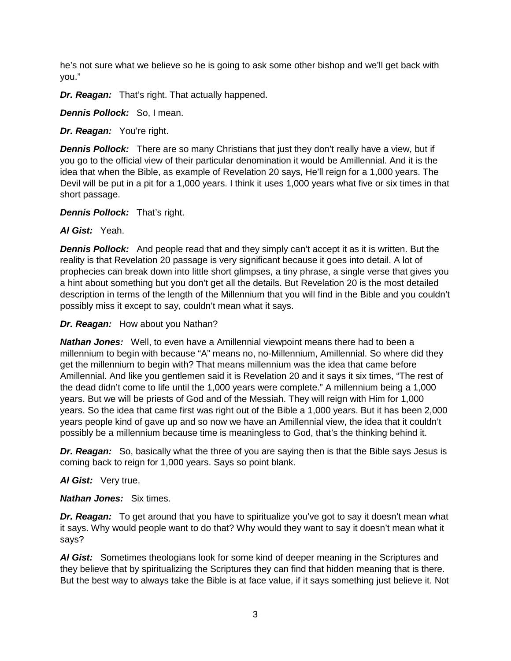he's not sure what we believe so he is going to ask some other bishop and we'll get back with you."

*Dr. Reagan:* That's right. That actually happened.

*Dennis Pollock:* So, I mean.

*Dr. Reagan:* You're right.

**Dennis Pollock:** There are so many Christians that just they don't really have a view, but if you go to the official view of their particular denomination it would be Amillennial. And it is the idea that when the Bible, as example of Revelation 20 says, He'll reign for a 1,000 years. The Devil will be put in a pit for a 1,000 years. I think it uses 1,000 years what five or six times in that short passage.

*Dennis Pollock:* That's right.

*Al Gist:* Yeah.

**Dennis Pollock:** And people read that and they simply can't accept it as it is written. But the reality is that Revelation 20 passage is very significant because it goes into detail. A lot of prophecies can break down into little short glimpses, a tiny phrase, a single verse that gives you a hint about something but you don't get all the details. But Revelation 20 is the most detailed description in terms of the length of the Millennium that you will find in the Bible and you couldn't possibly miss it except to say, couldn't mean what it says.

*Dr. Reagan:* How about you Nathan?

*Nathan Jones:* Well, to even have a Amillennial viewpoint means there had to been a millennium to begin with because "A" means no, no-Millennium, Amillennial. So where did they get the millennium to begin with? That means millennium was the idea that came before Amillennial. And like you gentlemen said it is Revelation 20 and it says it six times, "The rest of the dead didn't come to life until the 1,000 years were complete." A millennium being a 1,000 years. But we will be priests of God and of the Messiah. They will reign with Him for 1,000 years. So the idea that came first was right out of the Bible a 1,000 years. But it has been 2,000 years people kind of gave up and so now we have an Amillennial view, the idea that it couldn't possibly be a millennium because time is meaningless to God, that's the thinking behind it.

*Dr. Reagan:* So, basically what the three of you are saying then is that the Bible says Jesus is coming back to reign for 1,000 years. Says so point blank.

*Al Gist:* Very true.

*Nathan Jones:* Six times.

**Dr. Reagan:** To get around that you have to spiritualize you've got to say it doesn't mean what it says. Why would people want to do that? Why would they want to say it doesn't mean what it says?

*Al Gist:* Sometimes theologians look for some kind of deeper meaning in the Scriptures and they believe that by spiritualizing the Scriptures they can find that hidden meaning that is there. But the best way to always take the Bible is at face value, if it says something just believe it. Not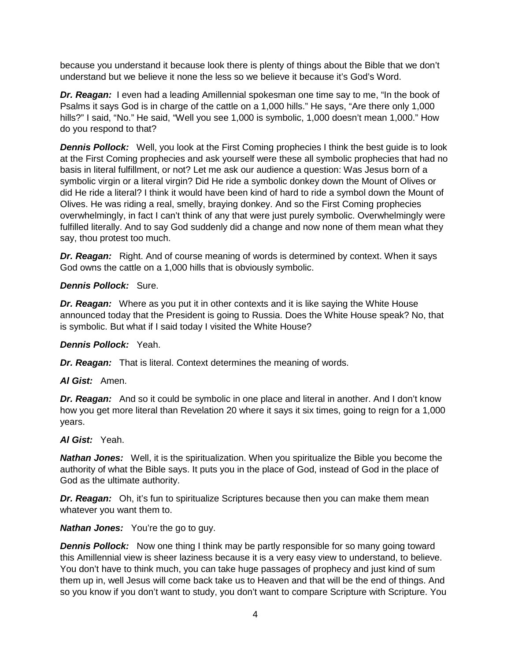because you understand it because look there is plenty of things about the Bible that we don't understand but we believe it none the less so we believe it because it's God's Word.

**Dr. Reagan:** I even had a leading Amillennial spokesman one time say to me, "In the book of Psalms it says God is in charge of the cattle on a 1,000 hills." He says, "Are there only 1,000 hills?" I said, "No." He said, "Well you see 1,000 is symbolic, 1,000 doesn't mean 1,000." How do you respond to that?

**Dennis Pollock:** Well, you look at the First Coming prophecies I think the best guide is to look at the First Coming prophecies and ask yourself were these all symbolic prophecies that had no basis in literal fulfillment, or not? Let me ask our audience a question: Was Jesus born of a symbolic virgin or a literal virgin? Did He ride a symbolic donkey down the Mount of Olives or did He ride a literal? I think it would have been kind of hard to ride a symbol down the Mount of Olives. He was riding a real, smelly, braying donkey. And so the First Coming prophecies overwhelmingly, in fact I can't think of any that were just purely symbolic. Overwhelmingly were fulfilled literally. And to say God suddenly did a change and now none of them mean what they say, thou protest too much.

*Dr. Reagan:* Right. And of course meaning of words is determined by context. When it says God owns the cattle on a 1,000 hills that is obviously symbolic.

#### *Dennis Pollock:* Sure.

*Dr. Reagan:* Where as you put it in other contexts and it is like saying the White House announced today that the President is going to Russia. Does the White House speak? No, that is symbolic. But what if I said today I visited the White House?

### *Dennis Pollock:* Yeah.

*Dr. Reagan:* That is literal. Context determines the meaning of words.

#### *Al Gist:* Amen.

**Dr. Reagan:** And so it could be symbolic in one place and literal in another. And I don't know how you get more literal than Revelation 20 where it says it six times, going to reign for a 1,000 years.

#### *Al Gist:* Yeah.

*Nathan Jones:* Well, it is the spiritualization. When you spiritualize the Bible you become the authority of what the Bible says. It puts you in the place of God, instead of God in the place of God as the ultimate authority.

**Dr. Reagan:** Oh, it's fun to spiritualize Scriptures because then you can make them mean whatever you want them to.

*Nathan Jones:* You're the go to guy.

**Dennis Pollock:** Now one thing I think may be partly responsible for so many going toward this Amillennial view is sheer laziness because it is a very easy view to understand, to believe. You don't have to think much, you can take huge passages of prophecy and just kind of sum them up in, well Jesus will come back take us to Heaven and that will be the end of things. And so you know if you don't want to study, you don't want to compare Scripture with Scripture. You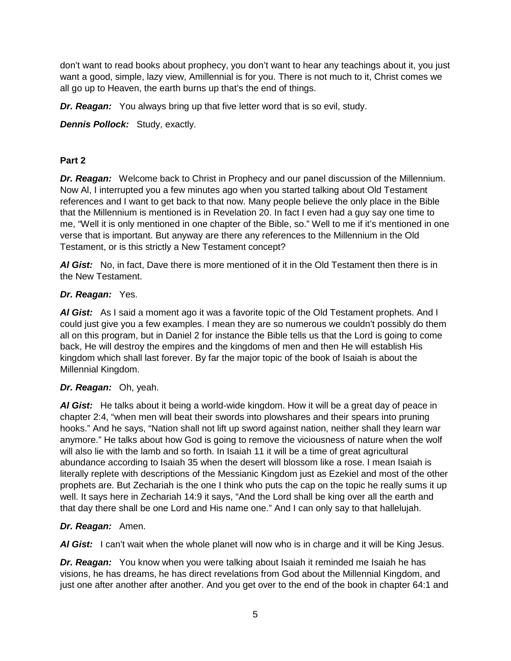don't want to read books about prophecy, you don't want to hear any teachings about it, you just want a good, simple, lazy view, Amillennial is for you. There is not much to it, Christ comes we all go up to Heaven, the earth burns up that's the end of things.

*Dr. Reagan:* You always bring up that five letter word that is so evil, study.

*Dennis Pollock:* Study, exactly.

## **Part 2**

*Dr. Reagan:* Welcome back to Christ in Prophecy and our panel discussion of the Millennium. Now Al, I interrupted you a few minutes ago when you started talking about Old Testament references and I want to get back to that now. Many people believe the only place in the Bible that the Millennium is mentioned is in Revelation 20. In fact I even had a guy say one time to me, "Well it is only mentioned in one chapter of the Bible, so." Well to me if it's mentioned in one verse that is important. But anyway are there any references to the Millennium in the Old Testament, or is this strictly a New Testament concept?

*Al Gist:* No, in fact, Dave there is more mentioned of it in the Old Testament then there is in the New Testament.

## *Dr. Reagan:* Yes.

*Al Gist:* As I said a moment ago it was a favorite topic of the Old Testament prophets. And I could just give you a few examples. I mean they are so numerous we couldn't possibly do them all on this program, but in Daniel 2 for instance the Bible tells us that the Lord is going to come back, He will destroy the empires and the kingdoms of men and then He will establish His kingdom which shall last forever. By far the major topic of the book of Isaiah is about the Millennial Kingdom.

## *Dr. Reagan:* Oh, yeah.

*Al Gist:* He talks about it being a world-wide kingdom. How it will be a great day of peace in chapter 2:4, "when men will beat their swords into plowshares and their spears into pruning hooks." And he says, "Nation shall not lift up sword against nation, neither shall they learn war anymore." He talks about how God is going to remove the viciousness of nature when the wolf will also lie with the lamb and so forth. In Isaiah 11 it will be a time of great agricultural abundance according to Isaiah 35 when the desert will blossom like a rose. I mean Isaiah is literally replete with descriptions of the Messianic Kingdom just as Ezekiel and most of the other prophets are. But Zechariah is the one I think who puts the cap on the topic he really sums it up well. It says here in Zechariah 14:9 it says, "And the Lord shall be king over all the earth and that day there shall be one Lord and His name one." And I can only say to that hallelujah.

## *Dr. Reagan:* Amen.

*Al Gist:* I can't wait when the whole planet will now who is in charge and it will be King Jesus.

*Dr. Reagan:* You know when you were talking about Isaiah it reminded me Isaiah he has visions, he has dreams, he has direct revelations from God about the Millennial Kingdom, and just one after another after another. And you get over to the end of the book in chapter 64:1 and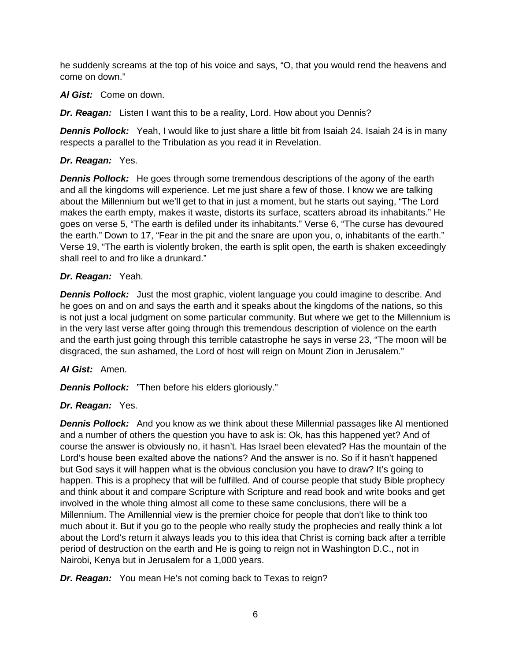he suddenly screams at the top of his voice and says, "O, that you would rend the heavens and come on down."

## *Al Gist:* Come on down.

*Dr. Reagan:* Listen I want this to be a reality, Lord. How about you Dennis?

*Dennis Pollock:* Yeah, I would like to just share a little bit from Isaiah 24. Isaiah 24 is in many respects a parallel to the Tribulation as you read it in Revelation.

## *Dr. Reagan:* Yes.

**Dennis Pollock:** He goes through some tremendous descriptions of the agony of the earth and all the kingdoms will experience. Let me just share a few of those. I know we are talking about the Millennium but we'll get to that in just a moment, but he starts out saying, "The Lord makes the earth empty, makes it waste, distorts its surface, scatters abroad its inhabitants." He goes on verse 5, "The earth is defiled under its inhabitants." Verse 6, "The curse has devoured the earth." Down to 17, "Fear in the pit and the snare are upon you, o, inhabitants of the earth." Verse 19, "The earth is violently broken, the earth is split open, the earth is shaken exceedingly shall reel to and fro like a drunkard."

## *Dr. Reagan:* Yeah.

**Dennis Pollock:** Just the most graphic, violent language you could imagine to describe. And he goes on and on and says the earth and it speaks about the kingdoms of the nations, so this is not just a local judgment on some particular community. But where we get to the Millennium is in the very last verse after going through this tremendous description of violence on the earth and the earth just going through this terrible catastrophe he says in verse 23, "The moon will be disgraced, the sun ashamed, the Lord of host will reign on Mount Zion in Jerusalem."

## *Al Gist:* Amen.

*Dennis Pollock:* "Then before his elders gloriously."

# *Dr. Reagan:* Yes.

*Dennis Pollock:* And you know as we think about these Millennial passages like Al mentioned and a number of others the question you have to ask is: Ok, has this happened yet? And of course the answer is obviously no, it hasn't. Has Israel been elevated? Has the mountain of the Lord's house been exalted above the nations? And the answer is no. So if it hasn't happened but God says it will happen what is the obvious conclusion you have to draw? It's going to happen. This is a prophecy that will be fulfilled. And of course people that study Bible prophecy and think about it and compare Scripture with Scripture and read book and write books and get involved in the whole thing almost all come to these same conclusions, there will be a Millennium. The Amillennial view is the premier choice for people that don't like to think too much about it. But if you go to the people who really study the prophecies and really think a lot about the Lord's return it always leads you to this idea that Christ is coming back after a terrible period of destruction on the earth and He is going to reign not in Washington D.C., not in Nairobi, Kenya but in Jerusalem for a 1,000 years.

*Dr. Reagan:* You mean He's not coming back to Texas to reign?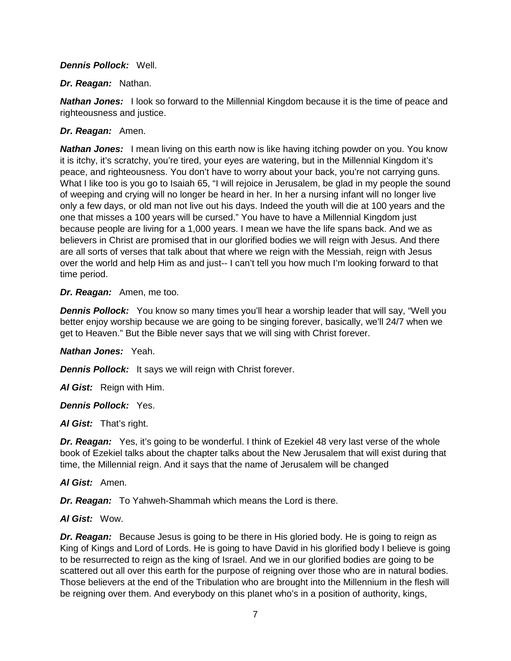#### *Dennis Pollock:* Well.

#### *Dr. Reagan:* Nathan.

*Nathan Jones:* I look so forward to the Millennial Kingdom because it is the time of peace and righteousness and justice.

#### *Dr. Reagan:* Amen.

*Nathan Jones:* I mean living on this earth now is like having itching powder on you. You know it is itchy, it's scratchy, you're tired, your eyes are watering, but in the Millennial Kingdom it's peace, and righteousness. You don't have to worry about your back, you're not carrying guns. What I like too is you go to Isaiah 65, "I will rejoice in Jerusalem, be glad in my people the sound of weeping and crying will no longer be heard in her. In her a nursing infant will no longer live only a few days, or old man not live out his days. Indeed the youth will die at 100 years and the one that misses a 100 years will be cursed." You have to have a Millennial Kingdom just because people are living for a 1,000 years. I mean we have the life spans back. And we as believers in Christ are promised that in our glorified bodies we will reign with Jesus. And there are all sorts of verses that talk about that where we reign with the Messiah, reign with Jesus over the world and help Him as and just-- I can't tell you how much I'm looking forward to that time period.

#### *Dr. Reagan:* Amen, me too.

*Dennis Pollock:* You know so many times you'll hear a worship leader that will say, "Well you better enjoy worship because we are going to be singing forever, basically, we'll 24/7 when we get to Heaven." But the Bible never says that we will sing with Christ forever.

### *Nathan Jones:* Yeah.

*Dennis Pollock:* It says we will reign with Christ forever.

*Al Gist:* Reign with Him.

### *Dennis Pollock:* Yes.

*Al Gist:* That's right.

*Dr. Reagan:* Yes, it's going to be wonderful. I think of Ezekiel 48 very last verse of the whole book of Ezekiel talks about the chapter talks about the New Jerusalem that will exist during that time, the Millennial reign. And it says that the name of Jerusalem will be changed

### *Al Gist:* Amen.

*Dr. Reagan:* To Yahweh-Shammah which means the Lord is there.

### *Al Gist:* Wow.

*Dr. Reagan:* Because Jesus is going to be there in His gloried body. He is going to reign as King of Kings and Lord of Lords. He is going to have David in his glorified body I believe is going to be resurrected to reign as the king of Israel. And we in our glorified bodies are going to be scattered out all over this earth for the purpose of reigning over those who are in natural bodies. Those believers at the end of the Tribulation who are brought into the Millennium in the flesh will be reigning over them. And everybody on this planet who's in a position of authority, kings,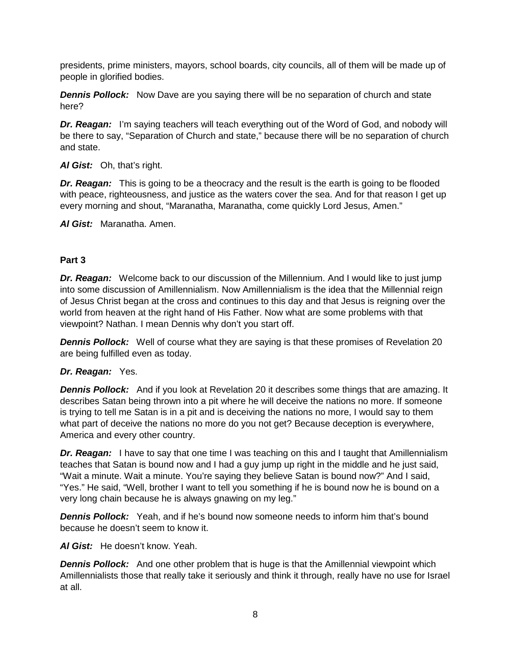presidents, prime ministers, mayors, school boards, city councils, all of them will be made up of people in glorified bodies.

*Dennis Pollock:* Now Dave are you saying there will be no separation of church and state here?

**Dr. Reagan:** I'm saying teachers will teach everything out of the Word of God, and nobody will be there to say, "Separation of Church and state," because there will be no separation of church and state.

*Al Gist:* Oh, that's right.

**Dr. Reagan:** This is going to be a theocracy and the result is the earth is going to be flooded with peace, righteousness, and justice as the waters cover the sea. And for that reason I get up every morning and shout, "Maranatha, Maranatha, come quickly Lord Jesus, Amen."

*Al Gist:* Maranatha. Amen.

## **Part 3**

*Dr. Reagan:* Welcome back to our discussion of the Millennium. And I would like to just jump into some discussion of Amillennialism. Now Amillennialism is the idea that the Millennial reign of Jesus Christ began at the cross and continues to this day and that Jesus is reigning over the world from heaven at the right hand of His Father. Now what are some problems with that viewpoint? Nathan. I mean Dennis why don't you start off.

*Dennis Pollock:* Well of course what they are saying is that these promises of Revelation 20 are being fulfilled even as today.

### *Dr. Reagan:* Yes.

*Dennis Pollock:* And if you look at Revelation 20 it describes some things that are amazing. It describes Satan being thrown into a pit where he will deceive the nations no more. If someone is trying to tell me Satan is in a pit and is deceiving the nations no more, I would say to them what part of deceive the nations no more do you not get? Because deception is everywhere, America and every other country.

*Dr. Reagan:* I have to say that one time I was teaching on this and I taught that Amillennialism teaches that Satan is bound now and I had a guy jump up right in the middle and he just said, "Wait a minute. Wait a minute. You're saying they believe Satan is bound now?" And I said, "Yes." He said, "Well, brother I want to tell you something if he is bound now he is bound on a very long chain because he is always gnawing on my leg."

*Dennis Pollock:* Yeah, and if he's bound now someone needs to inform him that's bound because he doesn't seem to know it.

*Al Gist:* He doesn't know. Yeah.

**Dennis Pollock:** And one other problem that is huge is that the Amillennial viewpoint which Amillennialists those that really take it seriously and think it through, really have no use for Israel at all.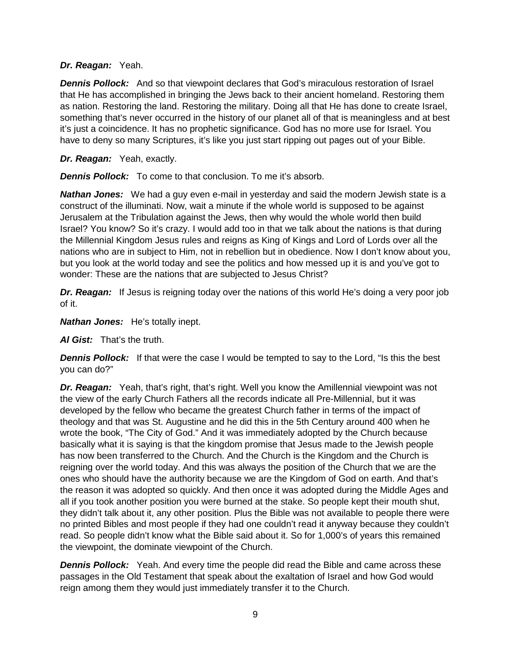### *Dr. Reagan:* Yeah.

*Dennis Pollock:* And so that viewpoint declares that God's miraculous restoration of Israel that He has accomplished in bringing the Jews back to their ancient homeland. Restoring them as nation. Restoring the land. Restoring the military. Doing all that He has done to create Israel, something that's never occurred in the history of our planet all of that is meaningless and at best it's just a coincidence. It has no prophetic significance. God has no more use for Israel. You have to deny so many Scriptures, it's like you just start ripping out pages out of your Bible.

## *Dr. Reagan:* Yeah, exactly.

*Dennis Pollock:* To come to that conclusion. To me it's absorb.

*Nathan Jones:* We had a guy even e-mail in yesterday and said the modern Jewish state is a construct of the illuminati. Now, wait a minute if the whole world is supposed to be against Jerusalem at the Tribulation against the Jews, then why would the whole world then build Israel? You know? So it's crazy. I would add too in that we talk about the nations is that during the Millennial Kingdom Jesus rules and reigns as King of Kings and Lord of Lords over all the nations who are in subject to Him, not in rebellion but in obedience. Now I don't know about you, but you look at the world today and see the politics and how messed up it is and you've got to wonder: These are the nations that are subjected to Jesus Christ?

*Dr. Reagan:* If Jesus is reigning today over the nations of this world He's doing a very poor job of it.

### *Nathan Jones:* He's totally inept.

*Al Gist:* That's the truth.

**Dennis Pollock:** If that were the case I would be tempted to say to the Lord, "Is this the best you can do?"

*Dr. Reagan:* Yeah, that's right, that's right. Well you know the Amillennial viewpoint was not the view of the early Church Fathers all the records indicate all Pre-Millennial, but it was developed by the fellow who became the greatest Church father in terms of the impact of theology and that was St. Augustine and he did this in the 5th Century around 400 when he wrote the book, "The City of God." And it was immediately adopted by the Church because basically what it is saying is that the kingdom promise that Jesus made to the Jewish people has now been transferred to the Church. And the Church is the Kingdom and the Church is reigning over the world today. And this was always the position of the Church that we are the ones who should have the authority because we are the Kingdom of God on earth. And that's the reason it was adopted so quickly. And then once it was adopted during the Middle Ages and all if you took another position you were burned at the stake. So people kept their mouth shut, they didn't talk about it, any other position. Plus the Bible was not available to people there were no printed Bibles and most people if they had one couldn't read it anyway because they couldn't read. So people didn't know what the Bible said about it. So for 1,000's of years this remained the viewpoint, the dominate viewpoint of the Church.

**Dennis Pollock:** Yeah. And every time the people did read the Bible and came across these passages in the Old Testament that speak about the exaltation of Israel and how God would reign among them they would just immediately transfer it to the Church.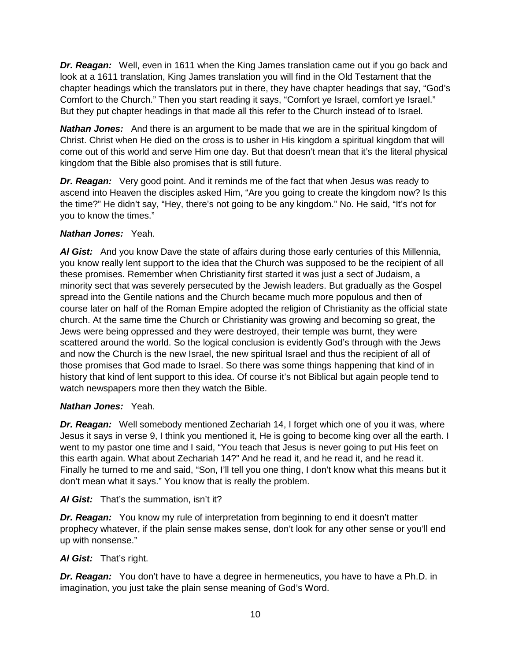*Dr. Reagan:* Well, even in 1611 when the King James translation came out if you go back and look at a 1611 translation, King James translation you will find in the Old Testament that the chapter headings which the translators put in there, they have chapter headings that say, "God's Comfort to the Church." Then you start reading it says, "Comfort ye Israel, comfort ye Israel." But they put chapter headings in that made all this refer to the Church instead of to Israel.

*Nathan Jones:* And there is an argument to be made that we are in the spiritual kingdom of Christ. Christ when He died on the cross is to usher in His kingdom a spiritual kingdom that will come out of this world and serve Him one day. But that doesn't mean that it's the literal physical kingdom that the Bible also promises that is still future.

*Dr. Reagan:* Very good point. And it reminds me of the fact that when Jesus was ready to ascend into Heaven the disciples asked Him, "Are you going to create the kingdom now? Is this the time?" He didn't say, "Hey, there's not going to be any kingdom." No. He said, "It's not for you to know the times."

## *Nathan Jones:* Yeah.

*Al Gist:* And you know Dave the state of affairs during those early centuries of this Millennia, you know really lent support to the idea that the Church was supposed to be the recipient of all these promises. Remember when Christianity first started it was just a sect of Judaism, a minority sect that was severely persecuted by the Jewish leaders. But gradually as the Gospel spread into the Gentile nations and the Church became much more populous and then of course later on half of the Roman Empire adopted the religion of Christianity as the official state church. At the same time the Church or Christianity was growing and becoming so great, the Jews were being oppressed and they were destroyed, their temple was burnt, they were scattered around the world. So the logical conclusion is evidently God's through with the Jews and now the Church is the new Israel, the new spiritual Israel and thus the recipient of all of those promises that God made to Israel. So there was some things happening that kind of in history that kind of lent support to this idea. Of course it's not Biblical but again people tend to watch newspapers more then they watch the Bible.

## *Nathan Jones:* Yeah.

*Dr. Reagan:* Well somebody mentioned Zechariah 14, I forget which one of you it was, where Jesus it says in verse 9, I think you mentioned it, He is going to become king over all the earth. I went to my pastor one time and I said, "You teach that Jesus is never going to put His feet on this earth again. What about Zechariah 14?" And he read it, and he read it, and he read it. Finally he turned to me and said, "Son, I'll tell you one thing, I don't know what this means but it don't mean what it says." You know that is really the problem.

*Al Gist:* That's the summation, isn't it?

*Dr. Reagan:* You know my rule of interpretation from beginning to end it doesn't matter prophecy whatever, if the plain sense makes sense, don't look for any other sense or you'll end up with nonsense."

## *Al Gist:* That's right.

*Dr. Reagan:* You don't have to have a degree in hermeneutics, you have to have a Ph.D. in imagination, you just take the plain sense meaning of God's Word.